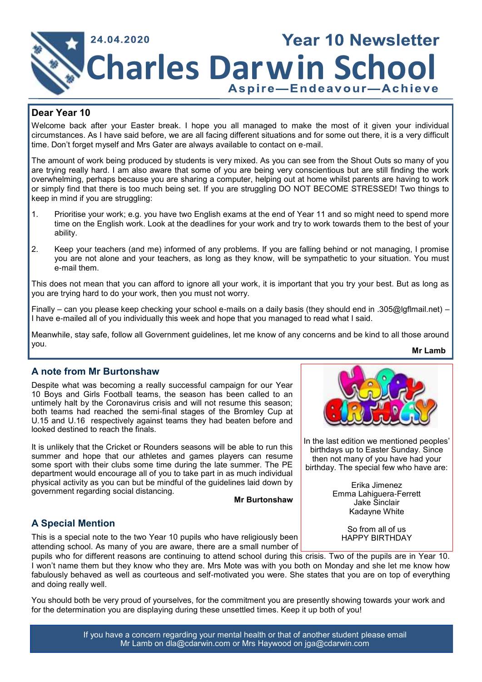

## **Dear Year 10**

Welcome back after your Easter break. I hope you all managed to make the most of it given your individual circumstances. As I have said before, we are all facing different situations and for some out there, it is a very difficult time. Don't forget myself and Mrs Gater are always available to contact on e-mail.

The amount of work being produced by students is very mixed. As you can see from the Shout Outs so many of you are trying really hard. I am also aware that some of you are being very conscientious but are still finding the work overwhelming, perhaps because you are sharing a computer, helping out at home whilst parents are having to work or simply find that there is too much being set. If you are struggling DO NOT BECOME STRESSED! Two things to keep in mind if you are struggling:

- 1. Prioritise your work; e.g. you have two English exams at the end of Year 11 and so might need to spend more time on the English work. Look at the deadlines for your work and try to work towards them to the best of your ability.
- 2. Keep your teachers (and me) informed of any problems. If you are falling behind or not managing, I promise you are not alone and your teachers, as long as they know, will be sympathetic to your situation. You must e-mail them.

This does not mean that you can afford to ignore all your work, it is important that you try your best. But as long as you are trying hard to do your work, then you must not worry.

Finally – can you please keep checking your school e-mails on a daily basis (they should end in .305@lgflmail.net) – I have e-mailed all of you individually this week and hope that you managed to read what I said.

Meanwhile, stay safe, follow all Government guidelines, let me know of any concerns and be kind to all those around you.

#### **Mr Lamb**

# **A note from Mr Burtonshaw**

Despite what was becoming a really successful campaign for our Year 10 Boys and Girls Football teams, the season has been called to an untimely halt by the Coronavirus crisis and will not resume this season; both teams had reached the semi-final stages of the Bromley Cup at U.15 and U.16 respectively against teams they had beaten before and looked destined to reach the finals.

It is unlikely that the Cricket or Rounders seasons will be able to run this summer and hope that our athletes and games players can resume some sport with their clubs some time during the late summer. The PE department would encourage all of you to take part in as much individual physical activity as you can but be mindful of the guidelines laid down by government regarding social distancing.

**Mr Burtonshaw**

# **A Special Mention**

This is a special note to the two Year 10 pupils who have religiously been attending school. As many of you are aware, there are a small number of

pupils who for different reasons are continuing to attend school during this crisis. Two of the pupils are in Year 10. I won't name them but they know who they are. Mrs Mote was with you both on Monday and she let me know how fabulously behaved as well as courteous and self-motivated you were. She states that you are on top of everything and doing really well.

You should both be very proud of yourselves, for the commitment you are presently showing towards your work and for the determination you are displaying during these unsettled times. Keep it up both of you!

In the last edition we mentioned peoples' birthdays up to Easter Sunday. Since then not many of you have had your birthday. The special few who have are:

> Erika Jimenez Emma Lahiguera-Ferrett Jake Sinclair Kadayne White

So from all of us HAPPY BIRTHDAY

If you have a concern regarding your mental health or that of another student please email Mr Lamb on dla@cdarwin.com or Mrs Haywood on jga@cdarwin.com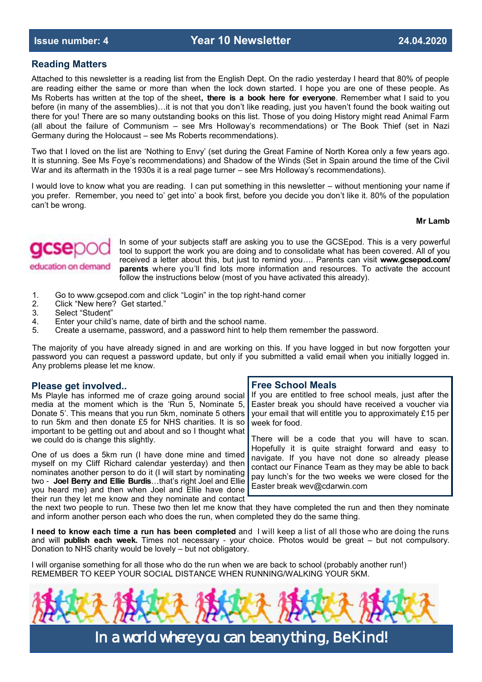# **Issue number: 4 Year 10 Newsletter 24.04.2020**

### **Reading Matters**

Attached to this newsletter is a reading list from the English Dept. On the radio yesterday I heard that 80% of people are reading either the same or more than when the lock down started. I hope you are one of these people. As Ms Roberts has written at the top of the sheet**, there is a book here for everyone**. Remember what I said to you before (in many of the assemblies)…it is not that you don't like reading, just you haven't found the book waiting out there for you! There are so many outstanding books on this list. Those of you doing History might read Animal Farm (all about the failure of Communism – see Mrs Holloway's recommendations) or The Book Thief (set in Nazi Germany during the Holocaust – see Ms Roberts recommendations).

Two that I loved on the list are 'Nothing to Envy' (set during the Great Famine of North Korea only a few years ago. It is stunning. See Ms Foye's recommendations) and Shadow of the Winds (Set in Spain around the time of the Civil War and its aftermath in the 1930s it is a real page turner – see Mrs Holloway's recommendations).

I would love to know what you are reading. I can put something in this newsletter – without mentioning your name if you prefer. Remember, you need to' get into' a book first, before you decide you don't like it. 80% of the population can't be wrong.

#### **Mr Lamb**



In some of your subjects staff are asking you to use the GCSEpod. This is a very powerful tool to support the work you are doing and to consolidate what has been covered. All of you received a letter about this, but just to remind you…. Parents can visit **www.gcsepod.com/ parents** where you'll find lots more information and resources. To activate the account follow the instructions below (most of you have activated this already).

- 1. Go to www.gcsepod.com and click "Login" in the top right-hand corner
- 2. Click "New here? Get started."
- 3. Select "Student"
- 4. Enter your child's name, date of birth and the school name.
- 5. Create a username, password, and a password hint to help them remember the password.

The majority of you have already signed in and are working on this. If you have logged in but now forgotten your password you can request a password update, but only if you submitted a valid email when you initially logged in. Any problems please let me know.

#### **Please get involved..**

Ms Playle has informed me of craze going around social media at the moment which is the 'Run 5. Nominate 5, Donate 5'. This means that you run 5km, nominate 5 others to run 5km and then donate £5 for NHS charities. It is so important to be getting out and about and so I thought what we could do is change this slightly.

One of us does a 5km run (I have done mine and timed myself on my Cliff Richard calendar yesterday) and then nominates another person to do it (I will start by nominating two - **Joel Berry and Ellie Burdis**…that's right Joel and Ellie you heard me) and then when Joel and Ellie have done their run they let me know and they nominate and contact

#### **Free School Meals**

If you are entitled to free school meals, just after the Easter break you should have received a voucher via your email that will entitle you to approximately £15 per week for food.

There will be a code that you will have to scan. Hopefully it is quite straight forward and easy to navigate. If you have not done so already please contact our Finance Team as they may be able to back pay lunch's for the two weeks we were closed for the Easter break wev@cdarwin.com

the next two people to run. These two then let me know that they have completed the run and then they nominate and inform another person each who does the run, when completed they do the same thing.

**I need to know each time a run has been completed** and I will keep a list of all those who are doing the runs and will **publish each week.** Times not necessary - your choice. Photos would be great – but not compulsory. Donation to NHS charity would be lovely – but not obligatory.

I will organise something for all those who do the run when we are back to school (probably another run!) REMEMBER TO KEEP YOUR SOCIAL DISTANCE WHEN RUNNING/WALKING YOUR 5KM.

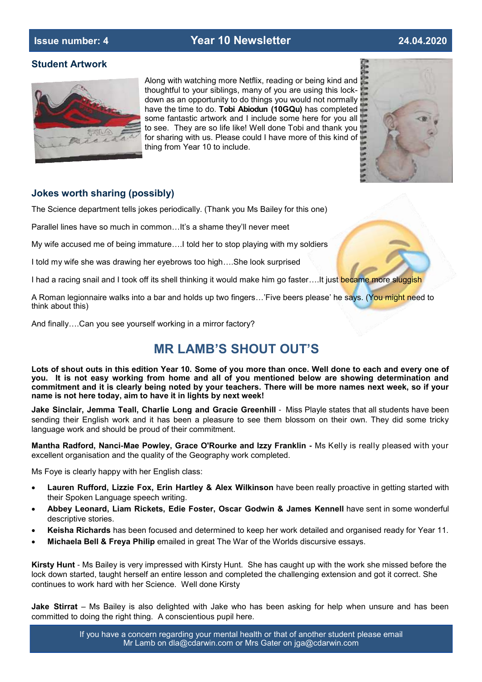# **Issue number: 4 Year 10 Newsletter 24.04.2020**

#### **Student Artwork**



Along with watching more Netflix, reading or being kind and thoughtful to your siblings, many of you are using this lockdown as an opportunity to do things you would not normally have the time to do. **Tobi Abiodun (10GQu)** has completed some fantastic artwork and I include some here for you all to see. They are so life like! Well done Tobi and thank you for sharing with us. Please could I have more of this kind of thing from Year 10 to include.



### **Jokes worth sharing (possibly)**

The Science department tells jokes periodically. (Thank you Ms Bailey for this one)

Parallel lines have so much in common…It's a shame they'll never meet

My wife accused me of being immature….I told her to stop playing with my soldiers

I told my wife she was drawing her eyebrows too high….She look surprised

I had a racing snail and I took off its shell thinking it would make him go faster....It just **became more sluggish** 

A Roman legionnaire walks into a bar and holds up two fingers…'Five beers please' he says. (You might need to think about this)

And finally….Can you see yourself working in a mirror factory?

# **MR LAMB'S SHOUT OUT'S**

**Lots of shout outs in this edition Year 10. Some of you more than once. Well done to each and every one of you. It is not easy working from home and all of you mentioned below are showing determination and commitment and it is clearly being noted by your teachers. There will be more names next week, so if your name is not here today, aim to have it in lights by next week!**

**Jake Sinclair, Jemma Teall, Charlie Long and Gracie Greenhill** - Miss Playle states that all students have been sending their English work and it has been a pleasure to see them blossom on their own. They did some tricky language work and should be proud of their commitment.

**Mantha Radford, Nanci-Mae Powley, Grace O'Rourke and Izzy Franklin -** Ms Kelly is really pleased with your excellent organisation and the quality of the Geography work completed.

Ms Foye is clearly happy with her English class:

- **Lauren Rufford, Lizzie Fox, Erin Hartley & Alex Wilkinson** have been really proactive in getting started with their Spoken Language speech writing.
- **Abbey Leonard, Liam Rickets, Edie Foster, Oscar Godwin & James Kennell** have sent in some wonderful descriptive stories.
- **Keisha Richards** has been focused and determined to keep her work detailed and organised ready for Year 11.
- **Michaela Bell & Freya Philip** emailed in great The War of the Worlds discursive essays.

**Kirsty Hunt** - Ms Bailey is very impressed with Kirsty Hunt. She has caught up with the work she missed before the lock down started, taught herself an entire lesson and completed the challenging extension and got it correct. She continues to work hard with her Science. Well done Kirsty

**Jake Stirrat** – Ms Bailey is also delighted with Jake who has been asking for help when unsure and has been committed to doing the right thing. A conscientious pupil here.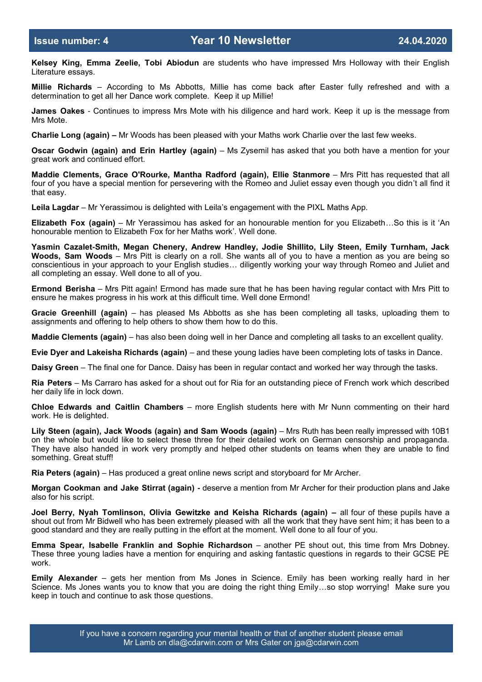**Kelsey King, Emma Zeelie, Tobi Abiodun** are students who have impressed Mrs Holloway with their English Literature essays.

**Millie Richards** – According to Ms Abbotts, Millie has come back after Easter fully refreshed and with a determination to get all her Dance work complete. Keep it up Millie!

**James Oakes** - Continues to impress Mrs Mote with his diligence and hard work. Keep it up is the message from Mrs Mote.

**Charlie Long (again) –** Mr Woods has been pleased with your Maths work Charlie over the last few weeks.

**Oscar Godwin (again) and Erin Hartley (again)** – Ms Zysemil has asked that you both have a mention for your great work and continued effort.

**Maddie Clements, Grace O'Rourke, Mantha Radford (again), Ellie Stanmore** – Mrs Pitt has requested that all four of you have a special mention for persevering with the Romeo and Juliet essay even though you didn't all find it that easy.

**Leila Lagdar** – Mr Yerassimou is delighted with Leila's engagement with the PIXL Maths App.

**Elizabeth Fox (again)** – Mr Yerassimou has asked for an honourable mention for you Elizabeth…So this is it 'An honourable mention to Elizabeth Fox for her Maths work'. Well done.

**Yasmin Cazalet-Smith, Megan Chenery, Andrew Handley, Jodie Shillito, Lily Steen, Emily Turnham, Jack Woods, Sam Woods** – Mrs Pitt is clearly on a roll. She wants all of you to have a mention as you are being so conscientious in your approach to your English studies… diligently working your way through Romeo and Juliet and all completing an essay. Well done to all of you.

**Ermond Berisha** – Mrs Pitt again! Ermond has made sure that he has been having regular contact with Mrs Pitt to ensure he makes progress in his work at this difficult time. Well done Ermond!

**Gracie Greenhill (again)** – has pleased Ms Abbotts as she has been completing all tasks, uploading them to assignments and offering to help others to show them how to do this.

**Maddie Clements (again)** – has also been doing well in her Dance and completing all tasks to an excellent quality.

**Evie Dyer and Lakeisha Richards (again)** – and these young ladies have been completing lots of tasks in Dance.

**Daisy Green** – The final one for Dance. Daisy has been in regular contact and worked her way through the tasks.

**Ria Peters** – Ms Carraro has asked for a shout out for Ria for an outstanding piece of French work which described her daily life in lock down.

**Chloe Edwards and Caitlin Chambers** – more English students here with Mr Nunn commenting on their hard work. He is delighted.

**Lily Steen (again), Jack Woods (again) and Sam Woods (again)** – Mrs Ruth has been really impressed with 10B1 on the whole but would like to select these three for their detailed work on German censorship and propaganda. They have also handed in work very promptly and helped other students on teams when they are unable to find something. Great stuff!

**Ria Peters (again)** – Has produced a great online news script and storyboard for Mr Archer.

**Morgan Cookman and Jake Stirrat (again) -** deserve a mention from Mr Archer for their production plans and Jake also for his script.

**Joel Berry, Nyah Tomlinson, Olivia Gewitzke and Keisha Richards (again) –** all four of these pupils have a shout out from Mr Bidwell who has been extremely pleased with all the work that they have sent him; it has been to a good standard and they are really putting in the effort at the moment. Well done to all four of you.

**Emma Spear, Isabelle Franklin and Sophie Richardson** – another PE shout out, this time from Mrs Dobney. These three young ladies have a mention for enquiring and asking fantastic questions in regards to their GCSE PE work.

**Emily Alexander** – gets her mention from Ms Jones in Science. Emily has been working really hard in her Science. Ms Jones wants you to know that you are doing the right thing Emily…so stop worrying! Make sure you keep in touch and continue to ask those questions.